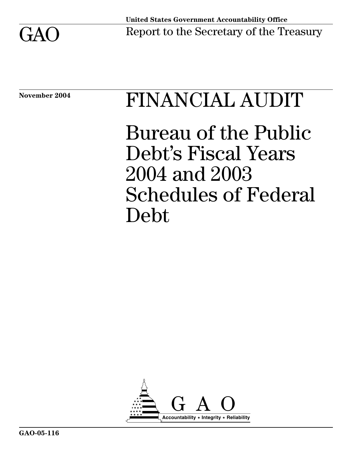

# November 2004 FINANCIAL AUDIT

Bureau of the Public Debt's Fiscal Years 2004 and 2003 Schedules of Federal Debt

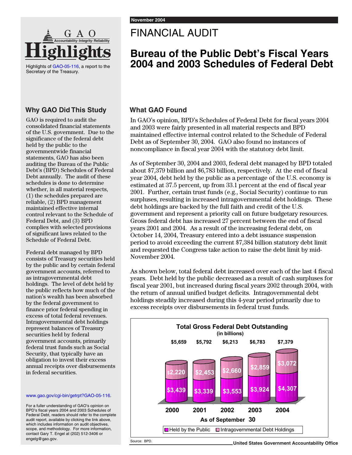

Highlights of GAO-05-116, a report to the Secretary of the Treasury.

#### **Why GAO Did This Study**

GAO is required to audit the consolidated financial statements of the U.S. government. Due to the significance of the federal debt held by the public to the governmentwide financial statements, GAO has also been auditing the Bureau of the Public Debt's (BPD) Schedules of Federal Debt annually. The audit of these schedules is done to determine whether, in all material respects, (1) the schedules prepared are reliable, (2) BPD management maintained effective internal control relevant to the Schedule of Federal Debt, and (3) BPD complies with selected provisions of significant laws related to the Schedule of Federal Debt.

Federal debt managed by BPD consists of Treasury securities held by the public and by certain federal government accounts, referred to as intragovernmental debt holdings. The level of debt held by the public reflects how much of the nation's wealth has been absorbed by the federal government to finance prior federal spending in excess of total federal revenues. Intragovernmental debt holdings represent balances of Treasury securities held by federal government accounts, primarily federal trust funds such as Social Security, that typically have an obligation to invest their excess annual receipts over disbursements in federal securities.

#### www.gao.gov/cgi-bin/getrpt?GAO-05-116.

For a fuller understanding of GAO's opinion on BPD's fiscal years 2004 and 2003 Schedules of Federal Debt, readers should refer to the complete audit report, available by clicking the link above, which includes information on audit objectives, scope, and methodology. For more information, contact Gary T. Engel at (202) 512-3406 or engelg@gao.gov.

### FINANCIAL AUDIT

### **Bureau of the Public Debt's Fiscal Years 2004 and 2003 Schedules of Federal Debt**

### **What GAO Found**

In GAO's opinion, BPD's Schedules of Federal Debt for fiscal years 2004 and 2003 were fairly presented in all material respects and BPD maintained effective internal control related to the Schedule of Federal Debt as of September 30, 2004. GAO also found no instances of noncompliance in fiscal year 2004 with the statutory debt limit.

As of September 30, 2004 and 2003, federal debt managed by BPD totaled about \$7,379 billion and \$6,783 billion, respectively. At the end of fiscal year 2004, debt held by the public as a percentage of the U.S. economy is estimated at 37.5 percent, up from 33.1 percent at the end of fiscal year 2001. Further, certain trust funds (e.g., Social Security) continue to run surpluses, resulting in increased intragovernmental debt holdings. These debt holdings are backed by the full faith and credit of the U.S. government and represent a priority call on future budgetary resources. Gross federal debt has increased 27 percent between the end of fiscal years 2001 and 2004. As a result of the increasing federal debt, on October 14, 2004, Treasury entered into a debt issuance suspension period to avoid exceeding the current \$7,384 billion statutory debt limit and requested the Congress take action to raise the debt limit by mid-November 2004.

As shown below, total federal debt increased over each of the last 4 fiscal years. Debt held by the public decreased as a result of cash surpluses for fiscal year 2001, but increased during fiscal years 2002 through 2004, with the return of annual unified budget deficits. Intragovernmental debt holdings steadily increased during this 4-year period primarily due to excess receipts over disbursements in federal trust funds.



**United States Government Accountability Office**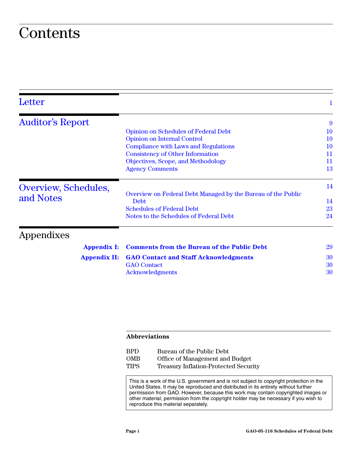### **Contents**

| Letter                  |                                                                      | 1         |
|-------------------------|----------------------------------------------------------------------|-----------|
| <b>Auditor's Report</b> |                                                                      | 9         |
|                         | <b>Opinion on Schedules of Federal Debt</b>                          | 10        |
|                         | <b>Opinion on Internal Control</b>                                   | 10        |
|                         | Compliance with Laws and Regulations                                 | <b>10</b> |
|                         | <b>Consistency of Other Information</b>                              | 11        |
|                         | Objectives, Scope, and Methodology                                   | 11        |
|                         | <b>Agency Comments</b>                                               | 13        |
| Overview, Schedules,    |                                                                      | 14        |
| and Notes               | Overview on Federal Debt Managed by the Bureau of the Public<br>Debt | 14        |
|                         | <b>Schedules of Federal Debt</b>                                     | 23        |
|                         | Notes to the Schedules of Federal Debt                               | 24        |
| Appendixes              |                                                                      |           |
| <b>Appendix I:</b>      | <b>Comments from the Bureau of the Public Debt</b>                   | 29        |
| <b>Appendix II:</b>     | <b>GAO Contact and Staff Acknowledgments</b>                         | 30        |
|                         | <b>GAO</b> Contact                                                   | 30        |
|                         | Acknowledgments                                                      | 30        |
|                         |                                                                      |           |

#### **Abbreviations**

| BPD.        | Bureau of the Public Debt                    |
|-------------|----------------------------------------------|
| <b>OMB</b>  | Office of Management and Budget              |
| <b>TIPS</b> | <b>Treasury Inflation-Protected Security</b> |

This is a work of the U.S. government and is not subject to copyright protection in the United States. It may be reproduced and distributed in its entirety without further permission from GAO. However, because this work may contain copyrighted images or other material, permission from the copyright holder may be necessary if you wish to reproduce this material separately.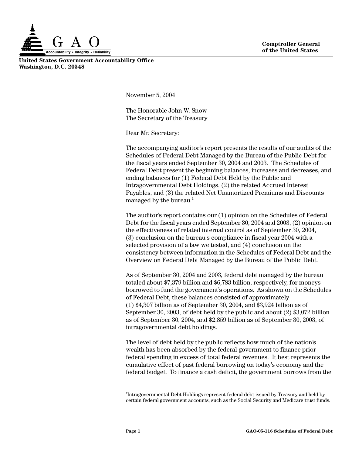

**United States Government Accountability Office Washington, D.C. 20548**

November 5, 2004

The Honorable John W. Snow The Secretary of the Treasury

Dear Mr. Secretary:

The accompanying auditor's report presents the results of our audits of the Schedules of Federal Debt Managed by the Bureau of the Public Debt for the fiscal years ended September 30, 2004 and 2003. The Schedules of Federal Debt present the beginning balances, increases and decreases, and ending balances for (1) Federal Debt Held by the Public and Intragovernmental Debt Holdings, (2) the related Accrued Interest Payables, and (3) the related Net Unamortized Premiums and Discounts managed by the bureau. $<sup>1</sup>$ </sup>

The auditor's report contains our (1) opinion on the Schedules of Federal Debt for the fiscal years ended September 30, 2004 and 2003, (2) opinion on the effectiveness of related internal control as of September 30, 2004, (3) conclusion on the bureau's compliance in fiscal year 2004 with a selected provision of a law we tested, and (4) conclusion on the consistency between information in the Schedules of Federal Debt and the Overview on Federal Debt Managed by the Bureau of the Public Debt.

As of September 30, 2004 and 2003, federal debt managed by the bureau totaled about \$7,379 billion and \$6,783 billion, respectively, for moneys borrowed to fund the government's operations. As shown on the Schedules of Federal Debt, these balances consisted of approximately (1) \$4,307 billion as of September 30, 2004, and \$3,924 billion as of September 30, 2003, of debt held by the public and about (2) \$3,072 billion as of September 30, 2004, and \$2,859 billion as of September 30, 2003, of intragovernmental debt holdings.

The level of debt held by the public reflects how much of the nation's wealth has been absorbed by the federal government to finance prior federal spending in excess of total federal revenues. It best represents the cumulative effect of past federal borrowing on today's economy and the federal budget. To finance a cash deficit, the government borrows from the

<sup>&</sup>lt;sup>1</sup>Intragovernmental Debt Holdings represent federal debt issued by Treasury and held by certain federal government accounts, such as the Social Security and Medicare trust funds.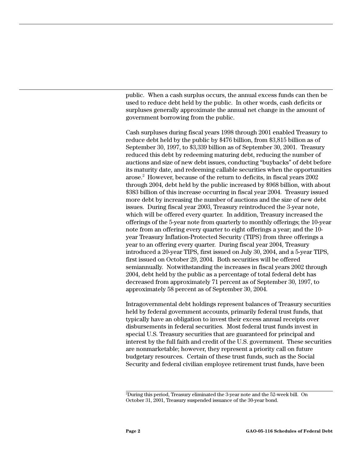public. When a cash surplus occurs, the annual excess funds can then be used to reduce debt held by the public. In other words, cash deficits or surpluses generally approximate the annual net change in the amount of government borrowing from the public.

Cash surpluses during fiscal years 1998 through 2001 enabled Treasury to reduce debt held by the public by \$476 billion, from \$3,815 billion as of September 30, 1997, to \$3,339 billion as of September 30, 2001. Treasury reduced this debt by redeeming maturing debt, reducing the number of auctions and size of new debt issues, conducting "buybacks" of debt before its maturity date, and redeeming callable securities when the opportunities arose.2 However, because of the return to deficits, in fiscal years 2002 through 2004, debt held by the public increased by \$968 billion, with about \$383 billion of this increase occurring in fiscal year 2004. Treasury issued more debt by increasing the number of auctions and the size of new debt issues. During fiscal year 2003, Treasury reintroduced the 3-year note, which will be offered every quarter. In addition, Treasury increased the offerings of the 5-year note from quarterly to monthly offerings; the 10-year note from an offering every quarter to eight offerings a year; and the 10 year Treasury Inflation-Protected Security (TIPS) from three offerings a year to an offering every quarter. During fiscal year 2004, Treasury introduced a 20-year TIPS, first issued on July 30, 2004, and a 5-year TIPS, first issued on October 29, 2004. Both securities will be offered semiannually. Notwithstanding the increases in fiscal years 2002 through 2004, debt held by the public as a percentage of total federal debt has decreased from approximately 71 percent as of September 30, 1997, to approximately 58 percent as of September 30, 2004.

Intragovernmental debt holdings represent balances of Treasury securities held by federal government accounts, primarily federal trust funds, that typically have an obligation to invest their excess annual receipts over disbursements in federal securities. Most federal trust funds invest in special U.S. Treasury securities that are guaranteed for principal and interest by the full faith and credit of the U.S. government. These securities are nonmarketable; however, they represent a priority call on future budgetary resources. Certain of these trust funds, such as the Social Security and federal civilian employee retirement trust funds, have been

<sup>2</sup> During this period, Treasury eliminated the 3-year note and the 52-week bill. On October 31, 2001, Treasury suspended issuance of the 30-year bond.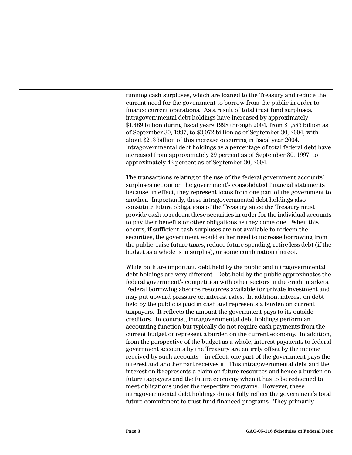running cash surpluses, which are loaned to the Treasury and reduce the current need for the government to borrow from the public in order to finance current operations. As a result of total trust fund surpluses, intragovernmental debt holdings have increased by approximately \$1,489 billion during fiscal years 1998 through 2004, from \$1,583 billion as of September 30, 1997, to \$3,072 billion as of September 30, 2004, with about \$213 billion of this increase occurring in fiscal year 2004. Intragovernmental debt holdings as a percentage of total federal debt have increased from approximately 29 percent as of September 30, 1997, to approximately 42 percent as of September 30, 2004.

The transactions relating to the use of the federal government accounts' surpluses net out on the government's consolidated financial statements because, in effect, they represent loans from one part of the government to another. Importantly, these intragovernmental debt holdings also constitute future obligations of the Treasury since the Treasury must provide cash to redeem these securities in order for the individual accounts to pay their benefits or other obligations as they come due. When this occurs, if sufficient cash surpluses are not available to redeem the securities, the government would either need to increase borrowing from the public, raise future taxes, reduce future spending, retire less debt (if the budget as a whole is in surplus), or some combination thereof.

While both are important, debt held by the public and intragovernmental debt holdings are very different. Debt held by the public approximates the federal government's competition with other sectors in the credit markets. Federal borrowing absorbs resources available for private investment and may put upward pressure on interest rates. In addition, interest on debt held by the public is paid in cash and represents a burden on current taxpayers. It reflects the amount the government pays to its outside creditors. In contrast, intragovernmental debt holdings perform an accounting function but typically do not require cash payments from the current budget or represent a burden on the current economy. In addition, from the perspective of the budget as a whole, interest payments to federal government accounts by the Treasury are entirely offset by the income received by such accounts**—**in effect, one part of the government pays the interest and another part receives it. This intragovernmental debt and the interest on it represents a claim on future resources and hence a burden on future taxpayers and the future economy when it has to be redeemed to meet obligations under the respective programs. However, these intragovernmental debt holdings do not fully reflect the government's total future commitment to trust fund financed programs. They primarily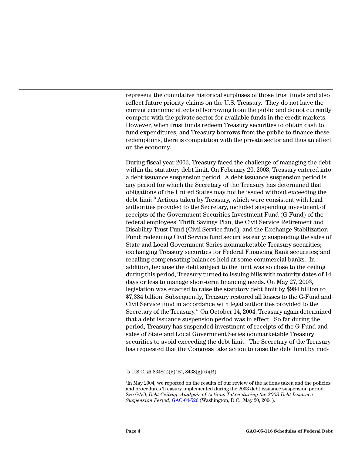represent the cumulative historical surpluses of those trust funds and also reflect future priority claims on the U.S. Treasury. They do not have the current economic effects of borrowing from the public and do not currently compete with the private sector for available funds in the credit markets. However, when trust funds redeem Treasury securities to obtain cash to fund expenditures, and Treasury borrows from the public to finance these redemptions, there is competition with the private sector and thus an effect on the economy.

During fiscal year 2003, Treasury faced the challenge of managing the debt within the statutory debt limit. On February 20, 2003, Treasury entered into a debt issuance suspension period. A debt issuance suspension period is any period for which the Secretary of the Treasury has determined that obligations of the United States may not be issued without exceeding the debt limit.<sup>3</sup> Actions taken by Treasury, which were consistent with legal authorities provided to the Secretary, included suspending investment of receipts of the Government Securities Investment Fund (G-Fund) of the federal employees' Thrift Savings Plan, the Civil Service Retirement and Disability Trust Fund (Civil Service fund), and the Exchange Stabilization Fund; redeeming Civil Service fund securities early; suspending the sales of State and Local Government Series nonmarketable Treasury securities; exchanging Treasury securities for Federal Financing Bank securities; and recalling compensating balances held at some commercial banks. In addition, because the debt subject to the limit was so close to the ceiling during this period, Treasury turned to issuing bills with maturity dates of 14 days or less to manage short-term financing needs. On May 27, 2003, legislation was enacted to raise the statutory debt limit by \$984 billion to \$7,384 billion. Subsequently, Treasury restored all losses to the G-Fund and Civil Service fund in accordance with legal authorities provided to the Secretary of the Treasury.<sup>4</sup> On October 14, 2004, Treasury again determined that a debt issuance suspension period was in effect. So far during the period, Treasury has suspended investment of receipts of the G-Fund and sales of State and Local Government Series nonmarketable Treasury securities to avoid exceeding the debt limit. The Secretary of the Treasury has requested that the Congress take action to raise the debt limit by mid-

<sup>3</sup> 5 U.S.C. §§ 8348(j)(5)(B), 8438(g)(6)(B).

<sup>4</sup> In May 2004, we reported on the results of our review of the actions taken and the policies and procedures Treasury implemented during the 2003 debt issuance suspension period. See GAO, *Debt Ceiling: Analysis of Actions Taken during the 2003 Debt Issuance Suspension Period*, GAO-04-526 (Washington, D.C.: May 20, 2004).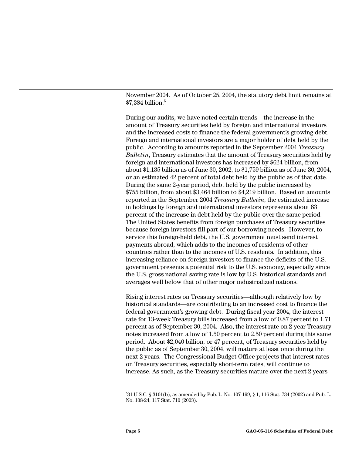November 2004. As of October 25, 2004, the statutory debt limit remains at \$7,384 billion.5

During our audits, we have noted certain trends—the increase in the amount of Treasury securities held by foreign and international investors and the increased costs to finance the federal government's growing debt. Foreign and international investors are a major holder of debt held by the public. According to amounts reported in the September 2004 *Treasury Bulletin*, Treasury estimates that the amount of Treasury securities held by foreign and international investors has increased by \$624 billion, from about \$1,135 billion as of June 30, 2002, to \$1,759 billion as of June 30, 2004, or an estimated 42 percent of total debt held by the public as of that date. During the same 2-year period, debt held by the public increased by \$755 billion, from about \$3,464 billion to \$4,219 billion. Based on amounts reported in the September 2004 *Treasury Bulletin*, the estimated increase in holdings by foreign and international investors represents about 83 percent of the increase in debt held by the public over the same period. The United States benefits from foreign purchases of Treasury securities because foreign investors fill part of our borrowing needs. However, to service this foreign-held debt, the U.S. government must send interest payments abroad, which adds to the incomes of residents of other countries rather than to the incomes of U.S. residents. In addition, this increasing reliance on foreign investors to finance the deficits of the U.S. government presents a potential risk to the U.S. economy, especially since the U.S. gross national saving rate is low by U.S. historical standards and averages well below that of other major industrialized nations.

Rising interest rates on Treasury securities—although relatively low by historical standards—are contributing to an increased cost to finance the federal government's growing debt. During fiscal year 2004, the interest rate for 13-week Treasury bills increased from a low of 0.87 percent to 1.71 percent as of September 30, 2004. Also, the interest rate on 2-year Treasury notes increased from a low of 1.50 percent to 2.50 percent during this same period. About \$2,040 billion, or 47 percent, of Treasury securities held by the public as of September 30, 2004, will mature at least once during the next 2 years. The Congressional Budget Office projects that interest rates on Treasury securities, especially short-term rates, will continue to increase. As such, as the Treasury securities mature over the next 2 years

<sup>5</sup> 31 U.S.C. § 3101(b), as amended by Pub. L. No. 107-199, § 1, 116 Stat. 734 (2002) and Pub. L. No. 108-24, 117 Stat. 710 (2003).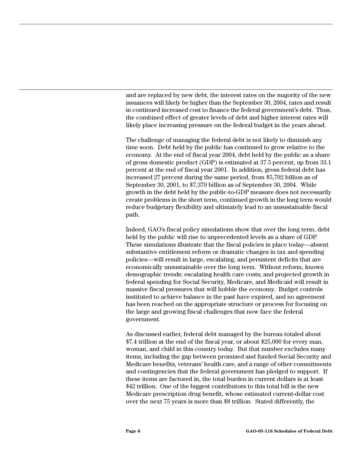and are replaced by new debt, the interest rates on the majority of the new issuances will likely be higher than the September 30, 2004, rates and result in continued increased cost to finance the federal government's debt. Thus, the combined effect of greater levels of debt and higher interest rates will likely place increasing pressure on the federal budget in the years ahead.

The challenge of managing the federal debt is not likely to diminish any time soon. Debt held by the public has continued to grow relative to the economy. At the end of fiscal year 2004, debt held by the public as a share of gross domestic product (GDP) is estimated at 37.5 percent, up from 33.1 percent at the end of fiscal year 2001. In addition, gross federal debt has increased 27 percent during the same period, from \$5,792 billion as of September 30, 2001, to \$7,379 billion as of September 30, 2004. While growth in the debt held by the public-to-GDP measure does not necessarily create problems in the short term, continued growth in the long term would reduce budgetary flexibility and ultimately lead to an unsustainable fiscal path.

Indeed, GAO's fiscal policy simulations show that over the long term, debt held by the public will rise to unprecedented levels as a share of GDP. These simulations illustrate that the fiscal policies in place today—absent substantive entitlement reform or dramatic changes in tax and spending policies—will result in large, escalating, and persistent deficits that are economically unsustainable over the long term. Without reform, known demographic trends; escalating health care costs; and projected growth in federal spending for Social Security, Medicare, and Medicaid will result in massive fiscal pressures that will hobble the economy. Budget controls instituted to achieve balance in the past have expired, and no agreement has been reached on the appropriate structure or process for focusing on the large and growing fiscal challenges that now face the federal government.

As discussed earlier, federal debt managed by the bureau totaled about \$7.4 trillion at the end of the fiscal year, or about \$25,000 for every man, woman, and child in this country today. But that number excludes many items, including the gap between promised and funded Social Security and Medicare benefits, veterans' health care, and a range of other commitments and contingencies that the federal government has pledged to support. If these items are factored in, the total burden in current dollars is at least \$42 trillion. One of the biggest contributors to this total bill is the new Medicare prescription drug benefit, whose estimated current-dollar cost over the next 75 years is more than \$8 trillion. Stated differently, the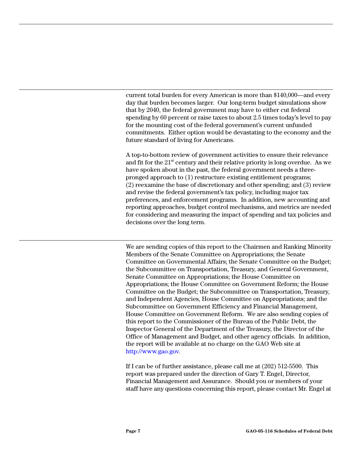current total burden for every American is more than \$140,000—and every day that burden becomes larger. Our long-term budget simulations show that by 2040, the federal government may have to either cut federal spending by 60 percent or raise taxes to about 2.5 times today's level to pay for the mounting cost of the federal government's current unfunded commitments. Either option would be devastating to the economy and the future standard of living for Americans.

A top-to-bottom review of government activities to ensure their relevance and fit for the  $21<sup>st</sup>$  century and their relative priority is long overdue. As we have spoken about in the past, the federal government needs a threepronged approach to (1) restructure existing entitlement programs; (2) reexamine the base of discretionary and other spending; and (3) review and revise the federal government's tax policy, including major tax preferences, and enforcement programs. In addition, new accounting and reporting approaches, budget control mechanisms, and metrics are needed for considering and measuring the impact of spending and tax policies and decisions over the long term.

We are sending copies of this report to the Chairmen and Ranking Minority Members of the Senate Committee on Appropriations; the Senate Committee on Governmental Affairs; the Senate Committee on the Budget; the Subcommittee on Transportation, Treasury, and General Government, Senate Committee on Appropriations; the House Committee on Appropriations; the House Committee on Government Reform; the House Committee on the Budget; the Subcommittee on Transportation, Treasury, and Independent Agencies, House Committee on Appropriations; and the Subcommittee on Government Efficiency and Financial Management, House Committee on Government Reform. We are also sending copies of this report to the Commissioner of the Bureau of the Public Debt, the Inspector General of the Department of the Treasury, the Director of the Office of Management and Budget, and other agency officials. In addition, the report will be available at no charge on the GAO Web site at http://www.gao.gov.

If I can be of further assistance, please call me at (202) 512-5500. This report was prepared under the direction of Gary T. Engel, Director, Financial Management and Assurance. Should you or members of your staff have any questions concerning this report, please contact Mr. Engel at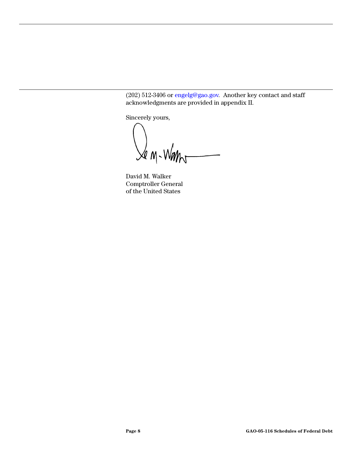(202) 512-3406 or engelg@gao.gov. Another key contact and staff acknowledgments are provided in appendix II.

Sincerely yours,

 $\mathcal{A}_{M-M}$ 

David M. Walker Comptroller General of the United States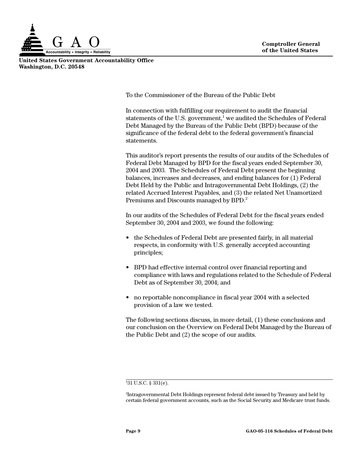

**United States Government Accountability Office Washington, D.C. 20548**

To the Commissioner of the Bureau of the Public Debt

In connection with fulfilling our requirement to audit the financial statements of the U.S. government,<sup>1</sup> we audited the Schedules of Federal Debt Managed by the Bureau of the Public Debt (BPD) because of the significance of the federal debt to the federal government's financial statements.

This auditor's report presents the results of our audits of the Schedules of Federal Debt Managed by BPD for the fiscal years ended September 30, 2004 and 2003. The Schedules of Federal Debt present the beginning balances, increases and decreases, and ending balances for (1) Federal Debt Held by the Public and Intragovernmental Debt Holdings, (2) the related Accrued Interest Payables, and (3) the related Net Unamortized Premiums and Discounts managed by BPD.<sup>2</sup>

In our audits of the Schedules of Federal Debt for the fiscal years ended September 30, 2004 and 2003, we found the following:

- the Schedules of Federal Debt are presented fairly, in all material respects, in conformity with U.S. generally accepted accounting principles;
- BPD had effective internal control over financial reporting and compliance with laws and regulations related to the Schedule of Federal Debt as of September 30, 2004; and
- no reportable noncompliance in fiscal year 2004 with a selected provision of a law we tested.

The following sections discuss, in more detail, (1) these conclusions and our conclusion on the Overview on Federal Debt Managed by the Bureau of the Public Debt and (2) the scope of our audits.

<sup>1</sup> 31 U.S.C. § 331(e).

<sup>2</sup> Intragovernmental Debt Holdings represent federal debt issued by Treasury and held by certain federal government accounts, such as the Social Security and Medicare trust funds.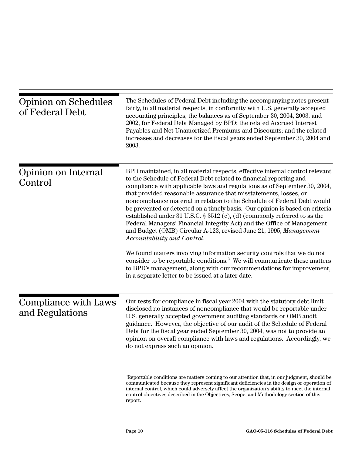| <b>Opinion on Schedules</b><br>of Federal Debt | The Schedules of Federal Debt including the accompanying notes present<br>fairly, in all material respects, in conformity with U.S. generally accepted<br>accounting principles, the balances as of September 30, 2004, 2003, and<br>2002, for Federal Debt Managed by BPD; the related Accrued Interest<br>Payables and Net Unamortized Premiums and Discounts; and the related<br>increases and decreases for the fiscal years ended September 30, 2004 and<br>2003.                                                                                                                                                                                                                                                                                                                                                                                                                                                                                                                                                            |
|------------------------------------------------|-----------------------------------------------------------------------------------------------------------------------------------------------------------------------------------------------------------------------------------------------------------------------------------------------------------------------------------------------------------------------------------------------------------------------------------------------------------------------------------------------------------------------------------------------------------------------------------------------------------------------------------------------------------------------------------------------------------------------------------------------------------------------------------------------------------------------------------------------------------------------------------------------------------------------------------------------------------------------------------------------------------------------------------|
| Opinion on Internal<br>Control                 | BPD maintained, in all material respects, effective internal control relevant<br>to the Schedule of Federal Debt related to financial reporting and<br>compliance with applicable laws and regulations as of September 30, 2004,<br>that provided reasonable assurance that misstatements, losses, or<br>noncompliance material in relation to the Schedule of Federal Debt would<br>be prevented or detected on a timely basis. Our opinion is based on criteria<br>established under 31 U.S.C. $\S 3512$ (c), (d) (commonly referred to as the<br>Federal Managers' Financial Integrity Act) and the Office of Management<br>and Budget (OMB) Circular A-123, revised June 21, 1995, Management<br>Accountability and Control.<br>We found matters involving information security controls that we do not<br>consider to be reportable conditions. <sup>3</sup> We will communicate these matters<br>to BPD's management, along with our recommendations for improvement,<br>in a separate letter to be issued at a later date. |
| Compliance with Laws<br>and Regulations        | Our tests for compliance in fiscal year 2004 with the statutory debt limit<br>disclosed no instances of noncompliance that would be reportable under<br>U.S. generally accepted government auditing standards or OMB audit<br>guidance. However, the objective of our audit of the Schedule of Federal<br>Debt for the fiscal year ended September 30, 2004, was not to provide an<br>opinion on overall compliance with laws and regulations. Accordingly, we<br>do not express such an opinion.<br><sup>3</sup> Reportable conditions are matters coming to our attention that, in our judgment, should be<br>communicated because they represent significant deficiencies in the design or operation of<br>internal control, which could adversely affect the organization's ability to meet the internal<br>control objectives described in the Objectives, Scope, and Methodology section of this                                                                                                                            |

report.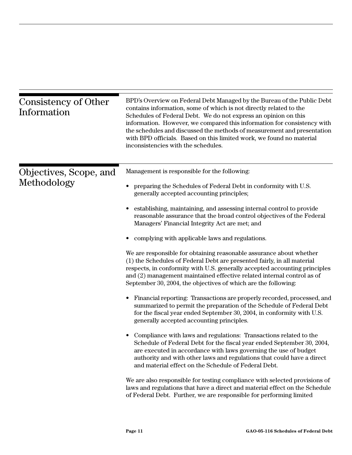| Consistency of Other<br>Information   | BPD's Overview on Federal Debt Managed by the Bureau of the Public Debt<br>contains information, some of which is not directly related to the<br>Schedules of Federal Debt. We do not express an opinion on this<br>information. However, we compared this information for consistency with<br>the schedules and discussed the methods of measurement and presentation<br>with BPD officials. Based on this limited work, we found no material<br>inconsistencies with the schedules. |
|---------------------------------------|---------------------------------------------------------------------------------------------------------------------------------------------------------------------------------------------------------------------------------------------------------------------------------------------------------------------------------------------------------------------------------------------------------------------------------------------------------------------------------------|
| Objectives, Scope, and<br>Methodology | Management is responsible for the following:<br>preparing the Schedules of Federal Debt in conformity with U.S.<br>generally accepted accounting principles;                                                                                                                                                                                                                                                                                                                          |
|                                       | establishing, maintaining, and assessing internal control to provide<br>reasonable assurance that the broad control objectives of the Federal<br>Managers' Financial Integrity Act are met; and                                                                                                                                                                                                                                                                                       |
|                                       | complying with applicable laws and regulations.                                                                                                                                                                                                                                                                                                                                                                                                                                       |
|                                       | We are responsible for obtaining reasonable assurance about whether<br>(1) the Schedules of Federal Debt are presented fairly, in all material<br>respects, in conformity with U.S. generally accepted accounting principles<br>and (2) management maintained effective related internal control as of<br>September 30, 2004, the objectives of which are the following:                                                                                                              |
|                                       | Financial reporting: Transactions are properly recorded, processed, and<br>summarized to permit the preparation of the Schedule of Federal Debt<br>for the fiscal year ended September 30, 2004, in conformity with U.S.<br>generally accepted accounting principles.                                                                                                                                                                                                                 |
|                                       | Compliance with laws and regulations: Transactions related to the<br>Schedule of Federal Debt for the fiscal year ended September 30, 2004,<br>are executed in accordance with laws governing the use of budget<br>authority and with other laws and regulations that could have a direct<br>and material effect on the Schedule of Federal Debt.                                                                                                                                     |
|                                       | We are also responsible for testing compliance with selected provisions of<br>laws and regulations that have a direct and material effect on the Schedule<br>of Federal Debt. Further, we are responsible for performing limited                                                                                                                                                                                                                                                      |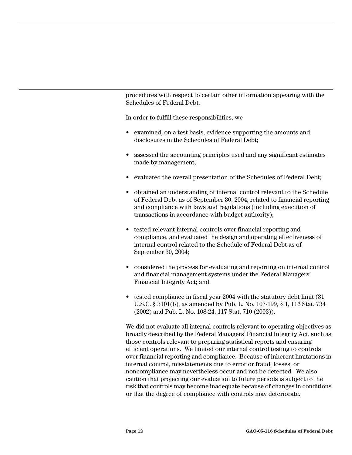procedures with respect to certain other information appearing with the Schedules of Federal Debt.

In order to fulfill these responsibilities, we

- examined, on a test basis, evidence supporting the amounts and disclosures in the Schedules of Federal Debt;
- assessed the accounting principles used and any significant estimates made by management;
- evaluated the overall presentation of the Schedules of Federal Debt;
- obtained an understanding of internal control relevant to the Schedule of Federal Debt as of September 30, 2004, related to financial reporting and compliance with laws and regulations (including execution of transactions in accordance with budget authority);
- tested relevant internal controls over financial reporting and compliance, and evaluated the design and operating effectiveness of internal control related to the Schedule of Federal Debt as of September 30, 2004;
- considered the process for evaluating and reporting on internal control and financial management systems under the Federal Managers' Financial Integrity Act; and
- tested compliance in fiscal year 2004 with the statutory debt limit (31) U.S.C. § 3101(b), as amended by Pub. L. No. 107-199, § 1, 116 Stat. 734 (2002) and Pub. L. No. 108-24, 117 Stat. 710 (2003)).

We did not evaluate all internal controls relevant to operating objectives as broadly described by the Federal Managers' Financial Integrity Act, such as those controls relevant to preparing statistical reports and ensuring efficient operations. We limited our internal control testing to controls over financial reporting and compliance. Because of inherent limitations in internal control, misstatements due to error or fraud, losses, or noncompliance may nevertheless occur and not be detected. We also caution that projecting our evaluation to future periods is subject to the risk that controls may become inadequate because of changes in conditions or that the degree of compliance with controls may deteriorate.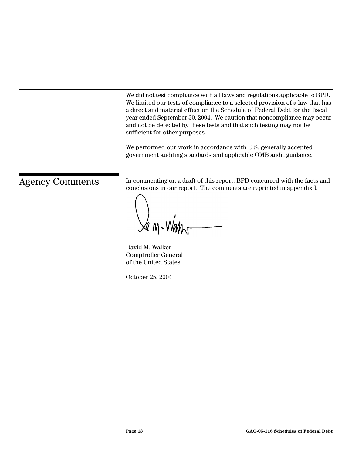We did not test compliance with all laws and regulations applicable to BPD. We limited our tests of compliance to a selected provision of a law that has a direct and material effect on the Schedule of Federal Debt for the fiscal year ended September 30, 2004. We caution that noncompliance may occur and not be detected by these tests and that such testing may not be sufficient for other purposes.

We performed our work in accordance with U.S. generally accepted government auditing standards and applicable OMB audit guidance.

Agency Comments In commenting on a draft of this report, BPD concurred with the facts and conclusions in our report. The comments are reprinted in appendix I.

 $\lambda$ e m-Wan $\eta$ 

David M. Walker Comptroller General of the United States

October 25, 2004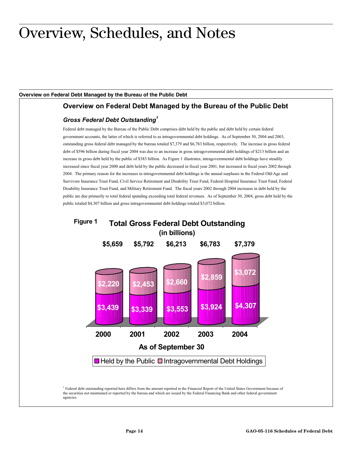### Overview, Schedules, and Notes

#### **Overview on Federal Debt Managed by the Bureau of the Public Debt**

#### **Overview on Federal Debt Managed by the Bureau of the Public Debt**

#### *Gross Federal Debt Outstanding<sup>1</sup>*

Federal debt managed by the Bureau of the Public Debt comprises debt held by the public and debt held by certain federal government accounts, the latter of which is referred to as intragovernmental debt holdings. As of September 30, 2004 and 2003, outstanding gross federal debt managed by the bureau totaled \$7,379 and \$6,783 billion, respectively. The increase in gross federal debt of \$596 billion during fiscal year 2004 was due to an increase in gross intragovernmental debt holdings of \$213 billion and an increase in gross debt held by the public of \$383 billion. As Figure 1 illustrates, intragovernmental debt holdings have steadily increased since fiscal year 2000 and debt held by the public decreased in fiscal year 2001, but increased in fiscal years 2002 through 2004. The primary reason for the increases in intragovernmental debt holdings is the annual surpluses in the Federal Old-Age and Survivors Insurance Trust Fund, Civil Service Retirement and Disability Trust Fund, Federal Hospital Insurance Trust Fund, Federal Disability Insurance Trust Fund, and Military Retirement Fund. The fiscal years 2002 through 2004 increases in debt held by the public are due primarily to total federal spending exceeding total federal revenues. As of September 30, 2004, gross debt held by the public totaled \$4,307 billion and gross intragovernmental debt holdings totaled \$3,072 billion.

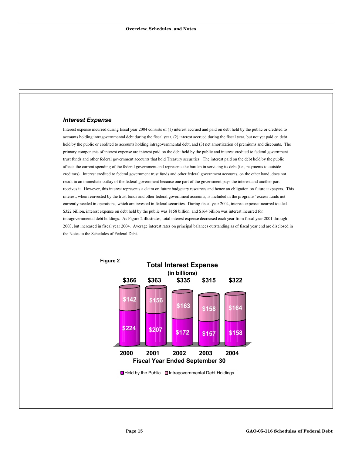#### *Interest Expense*

Interest expense incurred during fiscal year 2004 consists of (1) interest accrued and paid on debt held by the public or credited to accounts holding intragovernmental debt during the fiscal year, (2) interest accrued during the fiscal year, but not yet paid on debt held by the public or credited to accounts holding intragovernmental debt, and (3) net amortization of premiums and discounts. The primary components of interest expense are interest paid on the debt held by the public and interest credited to federal government trust funds and other federal government accounts that hold Treasury securities. The interest paid on the debt held by the public affects the current spending of the federal government and represents the burden in servicing its debt (i.e., payments to outside creditors). Interest credited to federal government trust funds and other federal government accounts, on the other hand, does not result in an immediate outlay of the federal government because one part of the government pays the interest and another part receives it. However, this interest represents a claim on future budgetary resources and hence an obligation on future taxpayers. This interest, when reinvested by the trust funds and other federal government accounts, is included in the programs' excess funds not currently needed in operations, which are invested in federal securities. During fiscal year 2004, interest expense incurred totaled \$322 billion, interest expense on debt held by the public was \$158 billion, and \$164 billion was interest incurred for intragovernmental debt holdings. As Figure 2 illustrates, total interest expense decreased each year from fiscal year 2001 through 2003, but increased in fiscal year 2004. Average interest rates on principal balances outstanding as of fiscal year end are disclosed in the Notes to the Schedules of Federal Debt.

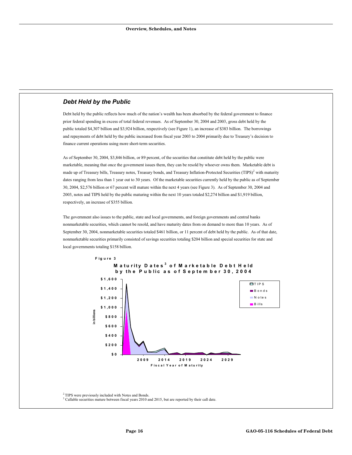#### *Debt Held by the Public*

Debt held by the public reflects how much of the nation's wealth has been absorbed by the federal government to finance prior federal spending in excess of total federal revenues. As of September 30, 2004 and 2003, gross debt held by the public totaled \$4,307 billion and \$3,924 billion, respectively (see Figure 1), an increase of \$383 billion. The borrowings and repayments of debt held by the public increased from fiscal year 2003 to 2004 primarily due to Treasury's decision to finance current operations using more short-term securities.

As of September 30, 2004, \$3,846 billion, or 89 percent, of the securities that constitute debt held by the public were marketable, meaning that once the government issues them, they can be resold by whoever owns them. Marketable debt is made up of Treasury bills, Treasury notes, Treasury bonds, and Treasury Inflation-Protected Securities (TIPS)<sup>2</sup> with maturity dates ranging from less than 1 year out to 30 years. Of the marketable securities currently held by the public as of September 30, 2004, \$2,576 billion or 67 percent will mature within the next 4 years (see Figure 3). As of September 30, 2004 and 2003, notes and TIPS held by the public maturing within the next 10 years totaled \$2,274 billion and \$1,919 billion, respectively, an increase of \$355 billion.

The government also issues to the public, state and local governments, and foreign governments and central banks nonmarketable securities, which cannot be resold, and have maturity dates from on demand to more than 10 years. As of September 30, 2004, nonmarketable securities totaled \$461 billion, or 11 percent of debt held by the public. As of that date, nonmarketable securities primarily consisted of savings securities totaling \$204 billion and special securities for state and local governments totaling \$158 billion.



<sup>2</sup> TIPS were previously included with Notes and Bonds.

<sup>3</sup> Callable securities mature between fiscal years 2010 and 2015, but are reported by their call date.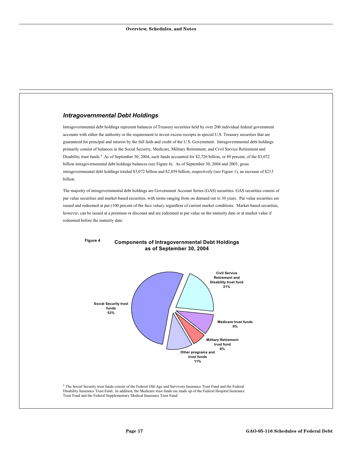#### *Intragovernmental Debt Holdings*

Intragovernmental debt holdings represent balances of Treasury securities held by over 200 individual federal government accounts with either the authority or the requirement to invest excess receipts in special U.S. Treasury securities that are guaranteed for principal and interest by the full faith and credit of the U.S. Government. Intragovernmental debt holdings primarily consist of balances in the Social Security, Medicare, Military Retirement, and Civil Service Retirement and Disability trust funds.<sup>4</sup> As of September 30, 2004, such funds accounted for \$2,726 billion, or 89 percent, of the \$3,072 billion intragovernmental debt holdings balances (see Figure 4). As of September 30, 2004 and 2003, gross intragovernmental debt holdings totaled \$3,072 billion and \$2,859 billion, respectively (see Figure 1), an increase of \$213 billion.

The majority of intragovernmental debt holdings are Government Account Series (GAS) securities. GAS securities consist of par value securities and market-based securities, with terms ranging from on demand out to 30 years. Par value securities are issued and redeemed at par (100 percent of the face value), regardless of current market conditions. Market-based securities, however, can be issued at a premium or discount and are redeemed at par value on the maturity date or at market value if redeemed before the maturity date.



#### **Components of Intragovernmental Debt Holdings as of September 30, 2004 Figure 4**

<sup>4</sup> The Social Security trust funds consist of the Federal Old-Age and Survivors Insurance Trust Fund and the Federal Disability Insurance Trust Fund. In addition, the Medicare trust funds are made up of the Federal Hospital Insurance Trust Fund and the Federal Supplementary Medical Insurance Trust Fund.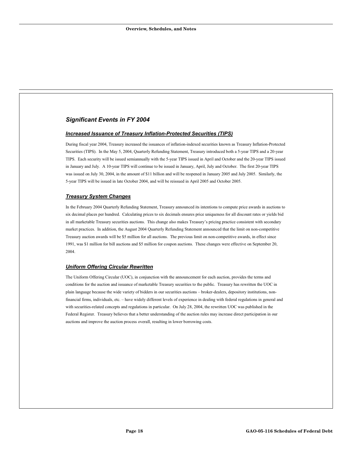#### *Significant Events in FY 2004*

#### *Increased Issuance of Treasury Inflation-Protected Securities (TIPS)*

During fiscal year 2004, Treasury increased the issuances of inflation-indexed securities known as Treasury Inflation-Protected Securities (TIPS). In the May 5, 2004, Quarterly Refunding Statement, Treasury introduced both a 5-year TIPS and a 20-year TIPS. Each security will be issued semiannually with the 5-year TIPS issued in April and October and the 20-year TIPS issued in January and July. A 10-year TIPS will continue to be issued in January, April, July and October. The first 20-year TIPS was issued on July 30, 2004, in the amount of \$11 billion and will be reopened in January 2005 and July 2005. Similarly, the 5-year TIPS will be issued in late October 2004, and will be reissued in April 2005 and October 2005.

#### *Treasury System Changes*

In the February 2004 Quarterly Refunding Statement, Treasury announced its intentions to compute price awards in auctions to six decimal places per hundred. Calculating prices to six decimals ensures price uniqueness for all discount rates or yields bid in all marketable Treasury securities auctions. This change also makes Treasury's pricing practice consistent with secondary market practices. In addition, the August 2004 Quarterly Refunding Statement announced that the limit on non-competitive Treasury auction awards will be \$5 million for all auctions. The previous limit on non-competitive awards, in effect since 1991, was \$1 million for bill auctions and \$5 million for coupon auctions. These changes were effective on September 20, 2004.

#### *Uniform Offering Circular Rewritten*

The Uniform Offering Circular (UOC), in conjunction with the announcement for each auction, provides the terms and conditions for the auction and issuance of marketable Treasury securities to the public. Treasury has rewritten the UOC in plain language because the wide variety of bidders in our securities auctions – broker-dealers, depository institutions, nonfinancial firms, individuals, etc. – have widely different levels of experience in dealing with federal regulations in general and with securities-related concepts and regulations in particular. On July 28, 2004, the rewritten UOC was published in the Federal Register. Treasury believes that a better understanding of the auction rules may increase direct participation in our auctions and improve the auction process overall, resulting in lower borrowing costs.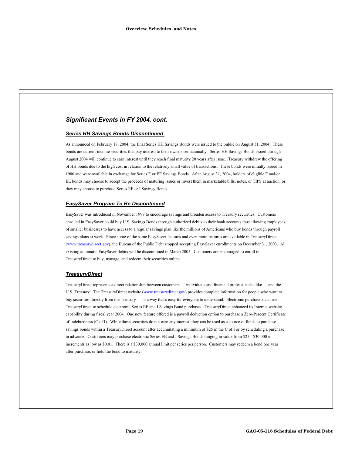#### *Significant Events in FY 2004, cont.*

#### *Series HH Savings Bonds Discontinued*

As announced on February 18, 2004, the final Series HH Savings Bonds were issued to the public on August 31, 2004. These bonds are current-income securities that pay interest to their owners semiannually. Series HH Savings Bonds issued through August 2004 will continue to earn interest until they reach final maturity 20 years after issue. Treasury withdrew the offering of HH bonds due to the high cost in relation to the relatively small value of transactions. These bonds were initially issued in 1980 and were available in exchange for Series E or EE Savings Bonds. After August 31, 2004, holders of eligible E and/or EE bonds may choose to accept the proceeds of maturing issues or invest them in marketable bills, notes, or TIPS at auction, or they may choose to purchase Series EE or I Savings Bonds.

#### *EasySaver Program To Be Discontinued*

EasySaver was introduced in November 1998 to encourage savings and broaden access to Treasury securities. Customers enrolled in EasySaver could buy U.S. Savings Bonds through authorized debits to their bank accounts thus allowing employees of smaller businesses to have access to a regular savings plan like the millions of Americans who buy bonds through payroll savings plans at work. Since some of the same EasySaver features and even more features are available in TreasuryDirect (www.treasurydirect.gov), the Bureau of the Public Debt stopped accepting EasySaver enrollments on December 31, 2003. All existing automatic EasySaver debits will be discontinued in March 2005. Customers are encouraged to enroll in TreasuryDirect to buy, manage, and redeem their securities online.

#### *TreasuryDirect*

TreasuryDirect represents a direct relationship between customers — individuals and financial professionals alike — and the U.S. Treasury. The TreasuryDirect website (www.treasurydirect.gov) provides complete information for people who want to buy securities directly from the Treasury — in a way that's easy for everyone to understand. Electronic purchasers can use TreasuryDirect to schedule electronic Series EE and I Savings Bond purchases. TreasuryDirect enhanced its Internet website capability during fiscal year 2004. One new feature offered is a payroll deduction option to purchase a Zero-Percent Certificate of Indebtedness (C of I). While these securities do not earn any interest, they can be used as a source of funds to purchase savings bonds within a TreasuryDirect account after accumulating a minimum of \$25 in the C of I or by scheduling a purchase in advance. Customers may purchase electronic Series EE and I Savings Bonds ranging in value from \$25 - \$30,000 in increments as low as \$0.01. There is a \$30,000 annual limit per series per person. Customers may redeem a bond one year after purchase, or hold the bond to maturity.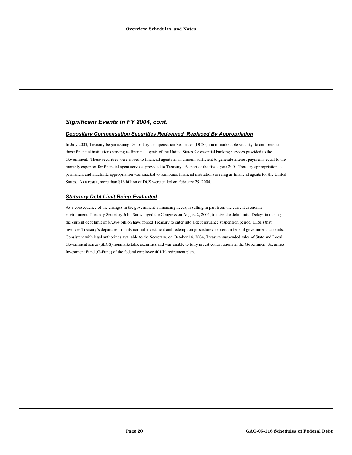#### *Significant Events in FY 2004, cont.*

#### *Depositary Compensation Securities Redeemed, Replaced By Appropriation*

In July 2003, Treasury began issuing Depositary Compensation Securities (DCS), a non-marketable security, to compensate those financial institutions serving as financial agents of the United States for essential banking services provided to the Government. These securities were issued to financial agents in an amount sufficient to generate interest payments equal to the monthly expenses for financial agent services provided to Treasury. As part of the fiscal year 2004 Treasury appropriation, a permanent and indefinite appropriation was enacted to reimburse financial institutions serving as financial agents for the United States. As a result, more than \$16 billion of DCS were called on February 29, 2004.

#### *Statutory Debt Limit Being Evaluated*

As a consequence of the changes in the government's financing needs, resulting in part from the current economic environment, Treasury Secretary John Snow urged the Congress on August 2, 2004, to raise the debt limit. Delays in raising the current debt limit of \$7,384 billion have forced Treasury to enter into a debt issuance suspension period (DISP) that involves Treasury's departure from its normal investment and redemption procedures for certain federal government accounts. Consistent with legal authorities available to the Secretary, on October 14, 2004, Treasury suspended sales of State and Local Government series (SLGS) nonmarketable securities and was unable to fully invest contributions in the Government Securities Investment Fund (G-Fund) of the federal employee 401(k) retirement plan.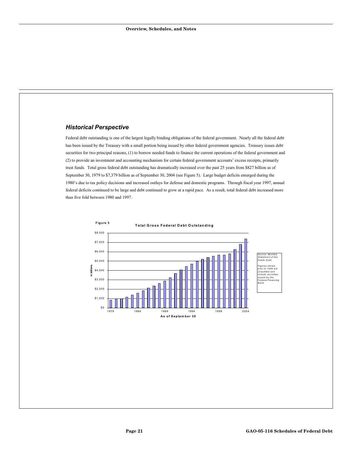#### *Historical Perspective*

Federal debt outstanding is one of the largest legally binding obligations of the federal government. Nearly all the federal debt has been issued by the Treasury with a small portion being issued by other federal government agencies. Treasury issues debt securities for two principal reasons, (1) to borrow needed funds to finance the current operations of the federal government and (2) to provide an investment and accounting mechanism for certain federal government accounts' excess receipts, primarily trust funds. Total gross federal debt outstanding has dramatically increased over the past 25 years from \$827 billion as of September 30, 1979 to \$7,379 billion as of September 30, 2004 (see Figure 5). Large budget deficits emerged during the 1980's due to tax policy decisions and increased outlays for defense and domestic programs. Through fiscal year 1997, annual federal deficits continued to be large and debt continued to grow at a rapid pace. As a result, total federal debt increased more than five fold between 1980 and 1997.

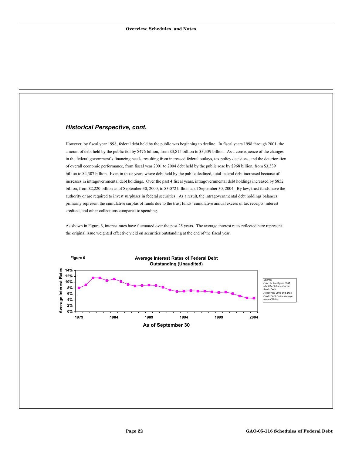#### *Historical Perspective, cont.*

However, by fiscal year 1998, federal debt held by the public was beginning to decline. In fiscal years 1998 through 2001, the amount of debt held by the public fell by \$476 billion, from \$3,815 billion to \$3,339 billion. As a consequence of the changes in the federal government's financing needs, resulting from increased federal outlays, tax policy decisions, and the deterioration of overall economic performance, from fiscal year 2001 to 2004 debt held by the public rose by \$968 billion, from \$3,339 billion to \$4,307 billion. Even in those years where debt held by the public declined, total federal debt increased because of increases in intragovernmental debt holdings. Over the past 4 fiscal years, intragovernmental debt holdings increased by \$852 billion, from \$2,220 billion as of September 30, 2000, to \$3,072 billion as of September 30, 2004. By law, trust funds have the authority or are required to invest surpluses in federal securities. As a result, the intragovernmental debt holdings balances primarily represent the cumulative surplus of funds due to the trust funds' cumulative annual excess of tax receipts, interest credited, and other collections compared to spending.

As shown in Figure 6, interest rates have fluctuated over the past 25 years. The average interest rates reflected here represent the original issue weighted effective yield on securities outstanding at the end of the fiscal year.

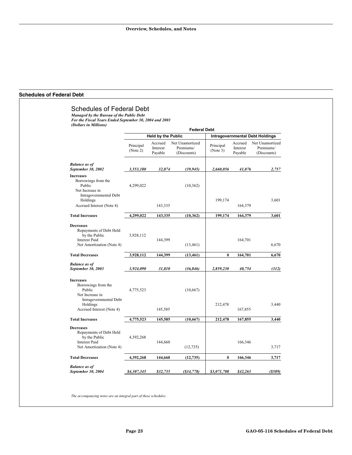#### **Schedules of Federal Debt**

|                                                                                                                                         | <b>Federal Debt</b>       |                                |                                             |                                        |                                |                                             |  |
|-----------------------------------------------------------------------------------------------------------------------------------------|---------------------------|--------------------------------|---------------------------------------------|----------------------------------------|--------------------------------|---------------------------------------------|--|
|                                                                                                                                         | <b>Held by the Public</b> |                                |                                             | <b>Intragovernmental Debt Holdings</b> |                                |                                             |  |
|                                                                                                                                         | Principal<br>(Note 2)     | Accrued<br>Interest<br>Payable | Net Unamortized<br>Premiums/<br>(Discounts) | Principal<br>(Note 3)                  | Accrued<br>Interest<br>Payable | Net Unamortized<br>Premiums/<br>(Discounts) |  |
| <b>Balance as of</b><br>September 30, 2002                                                                                              | 3,553,180                 | 32,874                         | (39, 945)                                   | 2,660,056                              | 41,076                         | 2,757                                       |  |
| <b>Increases</b><br>Borrowings from the<br>Public<br>Net Increase in<br>Intragovernmental Debt<br>Holdings                              | 4,299,022                 |                                | (10, 362)                                   | 199,174                                |                                | 3,601                                       |  |
| Accrued Interest (Note 4)                                                                                                               |                           | 143,335                        |                                             |                                        | 164,379                        |                                             |  |
| <b>Total Increases</b>                                                                                                                  | 4,299,022                 | 143,335                        | (10, 362)                                   | 199,174                                | 164,379                        | 3,601                                       |  |
| <b>Decreases</b><br>Repayments of Debt Held<br>by the Public<br><b>Interest Paid</b><br>Net Amortization (Note 4)                       | 3,928,112                 | 144,399                        | (13, 461)                                   |                                        | 164,701                        | 6,670                                       |  |
| <b>Total Decreases</b>                                                                                                                  | 3,928,112                 | 144,399                        | (13, 461)                                   | $\bf{0}$                               | 164,701                        | 6,670                                       |  |
| <b>Balance as of</b><br>September 30, 2003                                                                                              | 3,924,090                 | 31,810                         | (36, 846)                                   | 2,859,230                              | 40,754                         | (312)                                       |  |
| <b>Increases</b><br>Borrowings from the<br>Public<br>Net Increase in<br>Intragovernmental Debt<br>Holdings<br>Accrued Interest (Note 4) | 4,775,523                 | 145,585                        | (10, 667)                                   | 212,478                                | 167,855                        | 3,440                                       |  |
| <b>Total Increases</b>                                                                                                                  | 4,775,523                 | 145,585                        | (10, 667)                                   | 212,478                                | 167,855                        | 3,440                                       |  |
| <b>Decreases</b><br>Repayments of Debt Held<br>by the Public<br><b>Interest Paid</b><br>Net Amortization (Note 4)                       | 4,392,268                 | 144,660                        | (12, 735)                                   |                                        | 166,346                        | 3,717                                       |  |
| <b>Total Decreases</b>                                                                                                                  | 4,392,268                 | 144,660                        | (12, 735)                                   | $\bf{0}$                               | 166,346                        | 3,717                                       |  |
| <b>Balance as of</b><br>September 30, 2004                                                                                              | \$4,307,345               | \$32,735                       | $($ \$34,778 $)$                            | \$3,071,708                            | \$42,263                       | $($ \$589 $)$                               |  |

*The accompanying notes are an integral part of these schedules.*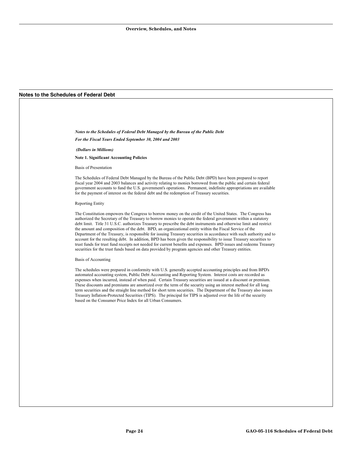#### **Notes to the Schedules of Federal Debt**

*Notes to the Schedules of Federal Debt Managed by the Bureau of the Public Debt For the Fiscal Years Ended September 30, 2004 and 2003* 

 *(Dollars in Millions)* 

**Note 1. Significant Accounting Policies** 

Basis of Presentation

The Schedules of Federal Debt Managed by the Bureau of the Public Debt (BPD) have been prepared to report fiscal year 2004 and 2003 balances and activity relating to monies borrowed from the public and certain federal government accounts to fund the U.S. government's operations. Permanent, indefinite appropriations are available for the payment of interest on the federal debt and the redemption of Treasury securities.

#### Reporting Entity

The Constitution empowers the Congress to borrow money on the credit of the United States. The Congress has authorized the Secretary of the Treasury to borrow monies to operate the federal government within a statutory debt limit. Title 31 U.S.C. authorizes Treasury to prescribe the debt instruments and otherwise limit and restrict the amount and composition of the debt. BPD, an organizational entity within the Fiscal Service of the Department of the Treasury, is responsible for issuing Treasury securities in accordance with such authority and to account for the resulting debt. In addition, BPD has been given the responsibility to issue Treasury securities to trust funds for trust fund receipts not needed for current benefits and expenses. BPD issues and redeems Treasury securities for the trust funds based on data provided by program agencies and other Treasury entities.

#### Basis of Accounting

The schedules were prepared in conformity with U.S. generally accepted accounting principles and from BPD's automated accounting system, Public Debt Accounting and Reporting System. Interest costs are recorded as expenses when incurred, instead of when paid. Certain Treasury securities are issued at a discount or premium. These discounts and premiums are amortized over the term of the security using an interest method for all long term securities and the straight line method for short term securities. The Department of the Treasury also issues Treasury Inflation-Protected Securities (TIPS). The principal for TIPS is adjusted over the life of the security based on the Consumer Price Index for all Urban Consumers.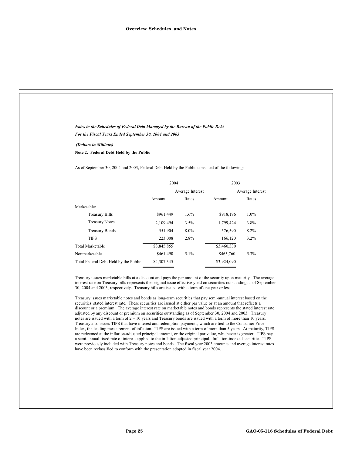| Notes to the Schedules of Federal Debt Managed by the Bureau of the Public Debt                                                                                                                                                                                                                                                                                                                                                                                                                                                                                                                                                                                                                                                                                                                                                                                                                                                                                                                                                                                                                                                                                                                                                                                                                                                                                                                                                                                                                                                             |             |                  |             |                  |
|---------------------------------------------------------------------------------------------------------------------------------------------------------------------------------------------------------------------------------------------------------------------------------------------------------------------------------------------------------------------------------------------------------------------------------------------------------------------------------------------------------------------------------------------------------------------------------------------------------------------------------------------------------------------------------------------------------------------------------------------------------------------------------------------------------------------------------------------------------------------------------------------------------------------------------------------------------------------------------------------------------------------------------------------------------------------------------------------------------------------------------------------------------------------------------------------------------------------------------------------------------------------------------------------------------------------------------------------------------------------------------------------------------------------------------------------------------------------------------------------------------------------------------------------|-------------|------------------|-------------|------------------|
| For the Fiscal Years Ended September 30, 2004 and 2003                                                                                                                                                                                                                                                                                                                                                                                                                                                                                                                                                                                                                                                                                                                                                                                                                                                                                                                                                                                                                                                                                                                                                                                                                                                                                                                                                                                                                                                                                      |             |                  |             |                  |
| (Dollars in Millions)<br>Note 2. Federal Debt Held by the Public                                                                                                                                                                                                                                                                                                                                                                                                                                                                                                                                                                                                                                                                                                                                                                                                                                                                                                                                                                                                                                                                                                                                                                                                                                                                                                                                                                                                                                                                            |             |                  |             |                  |
| As of September 30, 2004 and 2003, Federal Debt Held by the Public consisted of the following:                                                                                                                                                                                                                                                                                                                                                                                                                                                                                                                                                                                                                                                                                                                                                                                                                                                                                                                                                                                                                                                                                                                                                                                                                                                                                                                                                                                                                                              |             |                  |             |                  |
|                                                                                                                                                                                                                                                                                                                                                                                                                                                                                                                                                                                                                                                                                                                                                                                                                                                                                                                                                                                                                                                                                                                                                                                                                                                                                                                                                                                                                                                                                                                                             | 2004        |                  | 2003        |                  |
|                                                                                                                                                                                                                                                                                                                                                                                                                                                                                                                                                                                                                                                                                                                                                                                                                                                                                                                                                                                                                                                                                                                                                                                                                                                                                                                                                                                                                                                                                                                                             |             | Average Interest |             | Average Interest |
|                                                                                                                                                                                                                                                                                                                                                                                                                                                                                                                                                                                                                                                                                                                                                                                                                                                                                                                                                                                                                                                                                                                                                                                                                                                                                                                                                                                                                                                                                                                                             | Amount      | Rates            | Amount      | Rates            |
| Marketable:                                                                                                                                                                                                                                                                                                                                                                                                                                                                                                                                                                                                                                                                                                                                                                                                                                                                                                                                                                                                                                                                                                                                                                                                                                                                                                                                                                                                                                                                                                                                 |             |                  |             |                  |
| <b>Treasury Bills</b>                                                                                                                                                                                                                                                                                                                                                                                                                                                                                                                                                                                                                                                                                                                                                                                                                                                                                                                                                                                                                                                                                                                                                                                                                                                                                                                                                                                                                                                                                                                       | \$961,449   | 1.6%             | \$918,196   | 1.0%             |
| <b>Treasury Notes</b>                                                                                                                                                                                                                                                                                                                                                                                                                                                                                                                                                                                                                                                                                                                                                                                                                                                                                                                                                                                                                                                                                                                                                                                                                                                                                                                                                                                                                                                                                                                       | 2,109,494   | 3.5%             | 1,799,424   | 3.8%             |
| <b>Treasury Bonds</b>                                                                                                                                                                                                                                                                                                                                                                                                                                                                                                                                                                                                                                                                                                                                                                                                                                                                                                                                                                                                                                                                                                                                                                                                                                                                                                                                                                                                                                                                                                                       | 551,904     | 8.0%             | 576,590     | 8.2%             |
| <b>TIPS</b>                                                                                                                                                                                                                                                                                                                                                                                                                                                                                                                                                                                                                                                                                                                                                                                                                                                                                                                                                                                                                                                                                                                                                                                                                                                                                                                                                                                                                                                                                                                                 | 223,008     | 2.8%             | 166,120     | 3.2%             |
| <b>Total Marketable</b>                                                                                                                                                                                                                                                                                                                                                                                                                                                                                                                                                                                                                                                                                                                                                                                                                                                                                                                                                                                                                                                                                                                                                                                                                                                                                                                                                                                                                                                                                                                     | \$3,845,855 |                  | \$3,460,330 |                  |
| Nonmarketable                                                                                                                                                                                                                                                                                                                                                                                                                                                                                                                                                                                                                                                                                                                                                                                                                                                                                                                                                                                                                                                                                                                                                                                                                                                                                                                                                                                                                                                                                                                               | \$461,490   | 5.1%             | \$463,760   | 5.3%             |
| Total Federal Debt Held by the Public                                                                                                                                                                                                                                                                                                                                                                                                                                                                                                                                                                                                                                                                                                                                                                                                                                                                                                                                                                                                                                                                                                                                                                                                                                                                                                                                                                                                                                                                                                       | \$4,307,345 |                  | \$3,924,090 |                  |
| Treasury issues marketable bills at a discount and pays the par amount of the security upon maturity. The average<br>interest rate on Treasury bills represents the original issue effective yield on securities outstanding as of September<br>30, 2004 and 2003, respectively. Treasury bills are issued with a term of one year or less.<br>Treasury issues marketable notes and bonds as long-term securities that pay semi-annual interest based on the<br>securities' stated interest rate. These securities are issued at either par value or at an amount that reflects a<br>discount or a premium. The average interest rate on marketable notes and bonds represents the stated interest rate<br>adjusted by any discount or premium on securities outstanding as of September 30, 2004 and 2003. Treasury<br>notes are issued with a term of $2 - 10$ years and Treasury bonds are issued with a term of more than 10 years.<br>Treasury also issues TIPS that have interest and redemption payments, which are tied to the Consumer Price<br>Index, the leading measurement of inflation. TIPS are issued with a term of more than 5 years. At maturity, TIPS<br>are redeemed at the inflation-adjusted principal amount, or the original par value, whichever is greater. TIPS pay<br>a semi-annual fixed rate of interest applied to the inflation-adjusted principal. Inflation-indexed securities, TIPS,<br>were previously included with Treasury notes and bonds. The fiscal year 2003 amounts and average interest rates |             |                  |             |                  |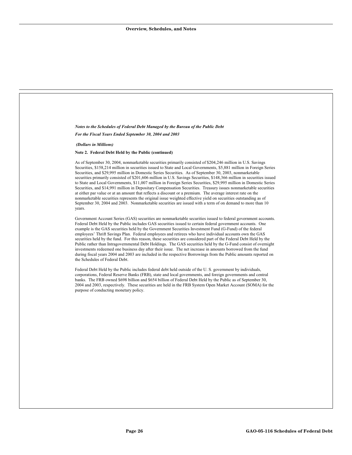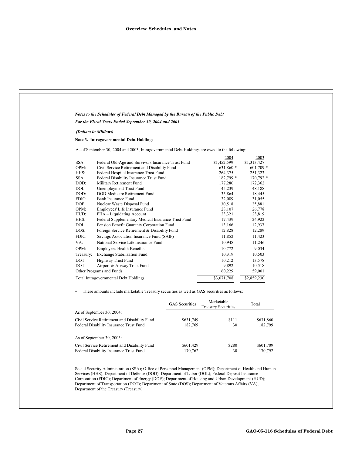|              | Notes to the Schedules of Federal Debt Managed by the Bureau of the Public Debt               |                                           |                            |                      |
|--------------|-----------------------------------------------------------------------------------------------|-------------------------------------------|----------------------------|----------------------|
|              | For the Fiscal Years Ended September 30, 2004 and 2003                                        |                                           |                            |                      |
|              | (Dollars in Millions)                                                                         |                                           |                            |                      |
|              | Note 3. Intragovernmental Debt Holdings                                                       |                                           |                            |                      |
|              | As of September 30, 2004 and 2003, Intragovernmental Debt Holdings are owed to the following: |                                           |                            |                      |
|              |                                                                                               |                                           | 2004                       | 2003                 |
| SSA:         | Federal Old-Age and Survivors Insurance Trust Fund                                            |                                           | \$1,452,599                | \$1,313,427          |
| OPM:         | Civil Service Retirement and Disability Fund                                                  |                                           | 631,860 *                  | $601,709*$           |
| HHS:         | Federal Hospital Insurance Trust Fund                                                         |                                           | 264,375                    | 251,323              |
| SSA:         | Federal Disability Insurance Trust Fund                                                       |                                           | 182,799 *                  | 170,792 *            |
| DOD:         | Military Retirement Fund                                                                      |                                           | 177,280                    | 172,362              |
| DOL:         | Unemployment Trust Fund                                                                       |                                           | 45,239                     | 48,188               |
| DOD:         | DOD Medicare Retirement Fund                                                                  |                                           | 35,864                     | 18,445               |
| FDIC:        | <b>Bank Insurance Fund</b>                                                                    |                                           | 32,089                     | 31,055               |
| DOE:<br>OPM: | Nuclear Waste Disposal Fund<br>Employees' Life Insurance Fund                                 |                                           | 30,518<br>28,107           | 25,881<br>26,778     |
| HUD:         | FHA - Liquidating Account                                                                     |                                           | 23,321                     | 23,819               |
| HHS:         | Federal Supplementary Medical Insurance Trust Fund                                            |                                           | 17,439                     | 24,922               |
| DOL:         |                                                                                               |                                           | 13,166                     | 12,937               |
| DOS:         |                                                                                               | Pension Benefit Guaranty Corporation Fund |                            |                      |
| FDIC:        | Foreign Service Retirement & Disability Fund<br>Savings Association Insurance Fund (SAIF)     |                                           | 12,828<br>11,852           | 12,289<br>11,423     |
|              |                                                                                               | 10,948                                    | 11,246                     |                      |
| VA:          |                                                                                               | National Service Life Insurance Fund      |                            |                      |
| OPM:         | <b>Employees Health Benefits</b>                                                              |                                           | 10,772                     | 9,034                |
| Treasury:    | <b>Exchange Stabilization Fund</b>                                                            |                                           | 10,319                     | 10,503               |
| DOT:         | Highway Trust Fund                                                                            |                                           | 10,212                     | 13,578               |
| DOT:         | Airport & Airway Trust Fund                                                                   |                                           | 9,892                      | 10,518               |
|              | Other Programs and Funds                                                                      |                                           | 60,229                     | 59,001               |
|              | Total Intragovernmental Debt Holdings                                                         |                                           | \$3,071,708                | \$2,859,230          |
| *            | These amounts include marketable Treasury securities as well as GAS securities as follows:    |                                           |                            |                      |
|              |                                                                                               | <b>GAS</b> Securities                     | Marketable                 | Total                |
|              | As of September 30, 2004:                                                                     |                                           | <b>Treasury Securities</b> |                      |
|              |                                                                                               |                                           |                            |                      |
|              | Civil Service Retirement and Disability Fund<br>Federal Disability Insurance Trust Fund       | \$631,749<br>182,769                      | \$111<br>30                | \$631,860<br>182,799 |
|              | As of September 30, 2003:                                                                     |                                           |                            |                      |
|              | Civil Service Retirement and Disability Fund                                                  |                                           |                            |                      |
|              |                                                                                               | \$601,429                                 | \$280                      | \$601,709            |

Social Security Administration (SSA); Office of Personnel Management (OPM); Department of Health and Human Services (HHS); Department of Defense (DOD); Department of Labor (DOL); Federal Deposit Insurance Corporation (FDIC); Department of Energy (DOE); Department of Housing and Urban Development (HUD); Department of Transportation (DOT); Department of State (DOS); Department of Veterans Affairs (VA); Department of the Treasury (Treasury).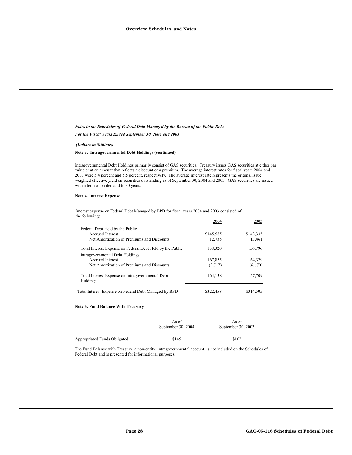$\overline{a}$ 

|                                                                                                                                                                                                                                                                                                                                                                                                                                                                                                                    | Notes to the Schedules of Federal Debt Managed by the Bureau of the Public Debt |                     |                             |
|--------------------------------------------------------------------------------------------------------------------------------------------------------------------------------------------------------------------------------------------------------------------------------------------------------------------------------------------------------------------------------------------------------------------------------------------------------------------------------------------------------------------|---------------------------------------------------------------------------------|---------------------|-----------------------------|
| For the Fiscal Years Ended September 30, 2004 and 2003                                                                                                                                                                                                                                                                                                                                                                                                                                                             |                                                                                 |                     |                             |
| (Dollars in Millions)                                                                                                                                                                                                                                                                                                                                                                                                                                                                                              |                                                                                 |                     |                             |
| Note 3. Intragovernmental Debt Holdings (continued)                                                                                                                                                                                                                                                                                                                                                                                                                                                                |                                                                                 |                     |                             |
| Intragovernmental Debt Holdings primarily consist of GAS securities. Treasury issues GAS securities at either par<br>value or at an amount that reflects a discount or a premium. The average interest rates for fiscal years 2004 and<br>2003 were 5.4 percent and 5.5 percent, respectively. The average interest rate represents the original issue<br>weighted effective yield on securities outstanding as of September 30, 2004 and 2003. GAS securities are issued<br>with a term of on demand to 30 years. |                                                                                 |                     |                             |
| <b>Note 4. Interest Expense</b>                                                                                                                                                                                                                                                                                                                                                                                                                                                                                    |                                                                                 |                     |                             |
| Interest expense on Federal Debt Managed by BPD for fiscal years 2004 and 2003 consisted of<br>the following:                                                                                                                                                                                                                                                                                                                                                                                                      |                                                                                 |                     |                             |
|                                                                                                                                                                                                                                                                                                                                                                                                                                                                                                                    |                                                                                 | 2004                | 2003                        |
| Federal Debt Held by the Public<br>Accrued Interest<br>Net Amortization of Premiums and Discounts                                                                                                                                                                                                                                                                                                                                                                                                                  |                                                                                 | \$145,585<br>12,735 | \$143,335<br>13,461         |
| Total Interest Expense on Federal Debt Held by the Public                                                                                                                                                                                                                                                                                                                                                                                                                                                          |                                                                                 | 158,320             | 156,796                     |
| Intragovernmental Debt Holdings<br>Accrued Interest                                                                                                                                                                                                                                                                                                                                                                                                                                                                |                                                                                 | 167,855             | 164,379                     |
| Net Amortization of Premiums and Discounts                                                                                                                                                                                                                                                                                                                                                                                                                                                                         |                                                                                 | (3,717)             | (6,670)                     |
| Total Interest Expense on Intragovernmental Debt<br>Holdings                                                                                                                                                                                                                                                                                                                                                                                                                                                       |                                                                                 | 164,138             | 157,709                     |
| Total Interest Expense on Federal Debt Managed by BPD                                                                                                                                                                                                                                                                                                                                                                                                                                                              |                                                                                 | \$322,458           | \$314,505                   |
| <b>Note 5. Fund Balance With Treasury</b>                                                                                                                                                                                                                                                                                                                                                                                                                                                                          |                                                                                 |                     |                             |
|                                                                                                                                                                                                                                                                                                                                                                                                                                                                                                                    | As of<br>September 30, 2004                                                     |                     | As of<br>September 30, 2003 |
|                                                                                                                                                                                                                                                                                                                                                                                                                                                                                                                    | \$145                                                                           |                     | \$162                       |
| Appropriated Funds Obligated                                                                                                                                                                                                                                                                                                                                                                                                                                                                                       |                                                                                 |                     |                             |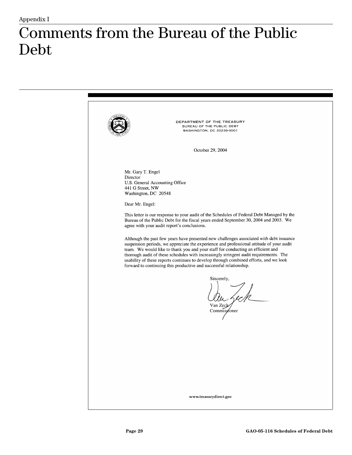## Comments from the Bureau of the Public  $\text{Debt}$

DEPARTMENT OF THE TREASURY BUREAU OF THE PUBLIC DEBT **WASHINGTON, DC 20239-0001** October 29, 2004 Mr. Gary T. Engel Director U.S. General Accounting Office 441 G Street, NW Washington, DC 20548 Dear Mr. Engel: This letter is our response to your audit of the Schedules of Federal Debt Managed by the Bureau of the Public Debt for the fiscal years ended September 30, 2004 and 2003. We agree with your audit report's conclusions. Although the past few years have presented new challenges associated with debt issuance suspension periods, we appreciate the experience and professional attitude of your audit team. We would like to thank you and your staff for conducting an efficient and thorough audit of these schedules with increasingly stringent audit requirements. The usability of these reports continues to develop through combined efforts, and we look forward to continuing this productive and successful relationship. Sincerely, Van Zeck Commissioner www.treasurydirect.gov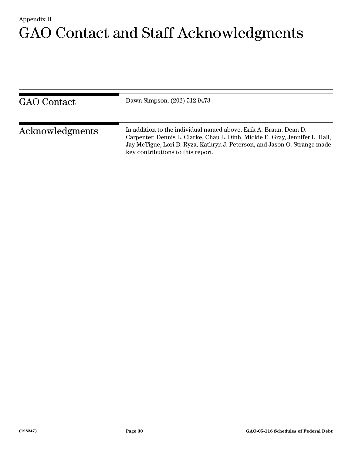### Appendix II GAO Contact and Staff Acknowledgments

| <b>GAO</b> Contact | Dawn Simpson, (202) 512-9473                                                                                                                                                                                                                                        |
|--------------------|---------------------------------------------------------------------------------------------------------------------------------------------------------------------------------------------------------------------------------------------------------------------|
| Acknowledgments    | In addition to the individual named above, Erik A. Braun, Dean D.<br>Carpenter, Dennis L. Clarke, Chau L. Dinh, Mickie E. Gray, Jennifer L. Hall,<br>Jay McTigue, Lori B. Ryza, Kathryn J. Peterson, and Jason O. Strange made<br>key contributions to this report. |